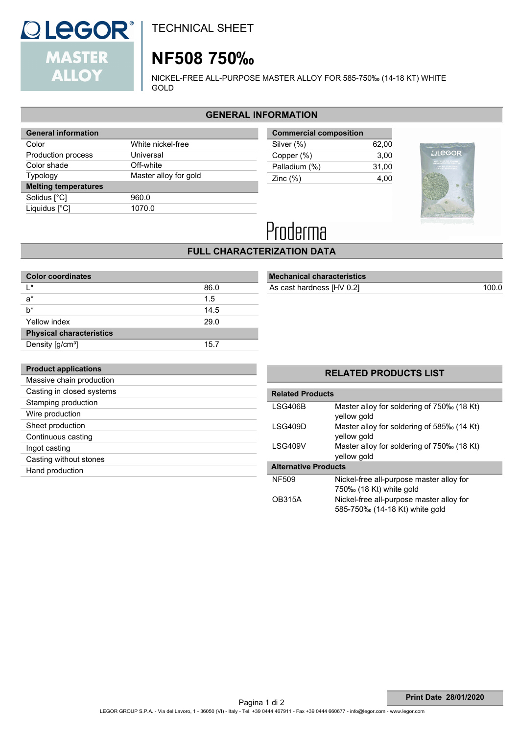

TECHNICAL SHEET

# **NF508 750‰**

NICKEL-FREE ALL-PURPOSE MASTER ALLOY FOR 585-750‰ (14-18 KT) WHITE GOLD

# **GENERAL INFORMATION**

| <b>General information</b>  |                       |  |  |
|-----------------------------|-----------------------|--|--|
| Color                       | White nickel-free     |  |  |
| Production process          | Universal             |  |  |
| Color shade                 | Off-white             |  |  |
| Typology                    | Master alloy for gold |  |  |
| <b>Melting temperatures</b> |                       |  |  |
| Solidus [°C]                | 960.0                 |  |  |
| Liquidus [°C]               | 1070.0                |  |  |
|                             |                       |  |  |

| <b>Commercial composition</b> |       |
|-------------------------------|-------|
| Silver (%)                    | 62.00 |
| Copper (%)                    | 3.00  |
| Palladium (%)                 | 31.00 |
| Zinc $(\%)$                   | 4.00  |
|                               |       |





# **FULL CHARACTERIZATION DATA**

| <b>Color coordinates</b>        |      |  |  |
|---------------------------------|------|--|--|
| $\mathsf{I}^*$                  | 86.0 |  |  |
| $a^*$                           | 1.5  |  |  |
| $b^*$                           | 14.5 |  |  |
| Yellow index                    | 29.0 |  |  |
| <b>Physical characteristics</b> |      |  |  |
| Density [g/cm <sup>3</sup> ]    | 15.7 |  |  |

# **Mechanical characteristics**

As cast hardness [HV 0.2] 100.0

| <b>Product applications</b> |
|-----------------------------|
| Massive chain production    |
| Casting in closed systems   |
| Stamping production         |
| Wire production             |
| Sheet production            |
| Continuous casting          |
| Ingot casting               |
| Casting without stones      |
| Hand production             |
|                             |

# **RELATED PRODUCTS LIST**

| <b>Related Products</b>     |                                                                            |  |  |  |
|-----------------------------|----------------------------------------------------------------------------|--|--|--|
| LSG406B                     | Master alloy for soldering of 750‰ (18 Kt)<br>yellow gold                  |  |  |  |
| LSG409D                     | Master alloy for soldering of 585‰ (14 Kt)<br>yellow gold                  |  |  |  |
| LSG409V                     | Master alloy for soldering of 750‰ (18 Kt)<br>yellow gold                  |  |  |  |
| <b>Alternative Products</b> |                                                                            |  |  |  |
| <b>NF509</b>                | Nickel-free all-purpose master alloy for<br>750‰ (18 Kt) white gold        |  |  |  |
| <b>OB315A</b>               | Nickel-free all-purpose master alloy for<br>585-750‰ (14-18 Kt) white gold |  |  |  |